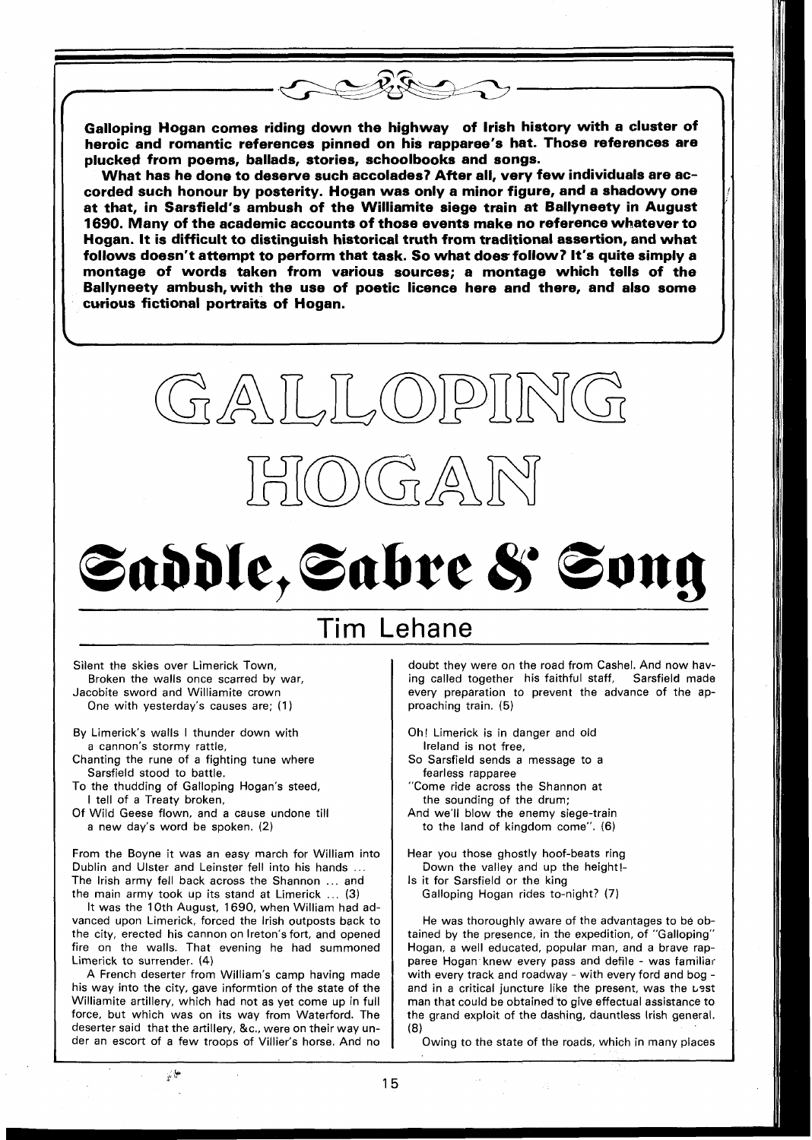Galloping Hogan comes riding down the highway of lrish history with a cluster of heroic and romantic references pinned on his rapparee's hat. Those references are plucked from poems, ballads, stories, schoolbooks and songs.

What has he done to deserve such accolades? After all, very few individuals are accorded such honour by posterity. Hogan was only a minor figure, and a shadowy one at that, in Sarsfield's ambush of the Williamite siege train at Ballyneety in August 1690. Many of the academic accounts of those events make no reference whatever to Hogan. It is difficult to distinguish historical truth from traditional assertion, and what follows doesn't attempt to perform that task. So what does follow? It's quite simply a montage of words taken from various sources; a montage which tells of the Ballyneety ambush,with the use of poetic licence here and there, and also some curious fictional portraits of Hogan.



 $D(G \triangle \mathbb{N})$ 

# Saddle, Sabre & Song

# Tim Lehane

Silent the skies over Limerick Town, Broken the walls once scarred by war, Jacobite sword and Williamite crown One with yesterday's causes are; (1)

- By Limerick's walls I thunder down with a cannon's stormy rattle,
- Chanting the rune of a fighting tune where Sarsfield stood to battle.
- To the thudding of Galloping Hogan's steed, I tell of a Treaty broken,
- Of Wild Geese flown, and a cause undone till a new day's word be spoken. (2)

From the Boyne it was an easy march for William into Dublin and Ulster and Leinster fell into his hands ... The Irish army fell back across the Shannon ... and the main army took up its stand at Limerick ... (3)

It was the 10th August, 1690, when William had advanced upon Limerick, forced the lrish outposts back to the city, erected his cannon on Ireton's fort, and opened fire on the walls. That evening he had summoned Limerick to surrender. (4)

A French deserter from William's camp having made his way into the city, gave informtion of the state of the Williamite artillery, which had not as yet come up in full force, but which was on its way from Waterford. The deserter said that the artillery, &C., were on their way under an escort of a few troops of Villier's horse. And no

 $\frac{1}{2}$ 

doubt they were on the road from Cashel. And now having called together his faithful staff, Sarsfield made every preparation to prevent the advance of the approaching train. (5)

- Oh! Limerick is in danger and old Ireland is not free,
- So Sarsfield sends a message to a fearless rapparee
- "Come ride across the Shannon at the sounding of the drum;
- And we'll blow the enemy siege-train to the land of kingdom come". (6)

Hear you those ghostly hoof-beats ring Down the valley and up the height!-

Is it for Sarsfield or the king Galloping Hogan rides to-night? (7)

He was thoroughly aware of the advantages to be obtained by the presence, in the expedition, of "Galloping" Hogan, a well educated, popular man, and a brave rapparee Hogan knew every pass and defile - was familiar with every track and roadway - with every ford and bog and in a critical juncture like the present, was the usst man that could be obtained to give effectual assistance to the grand exploit of the dashing, dauntless lrish general. **(8)** 

Owing to the state of the roads, which in many places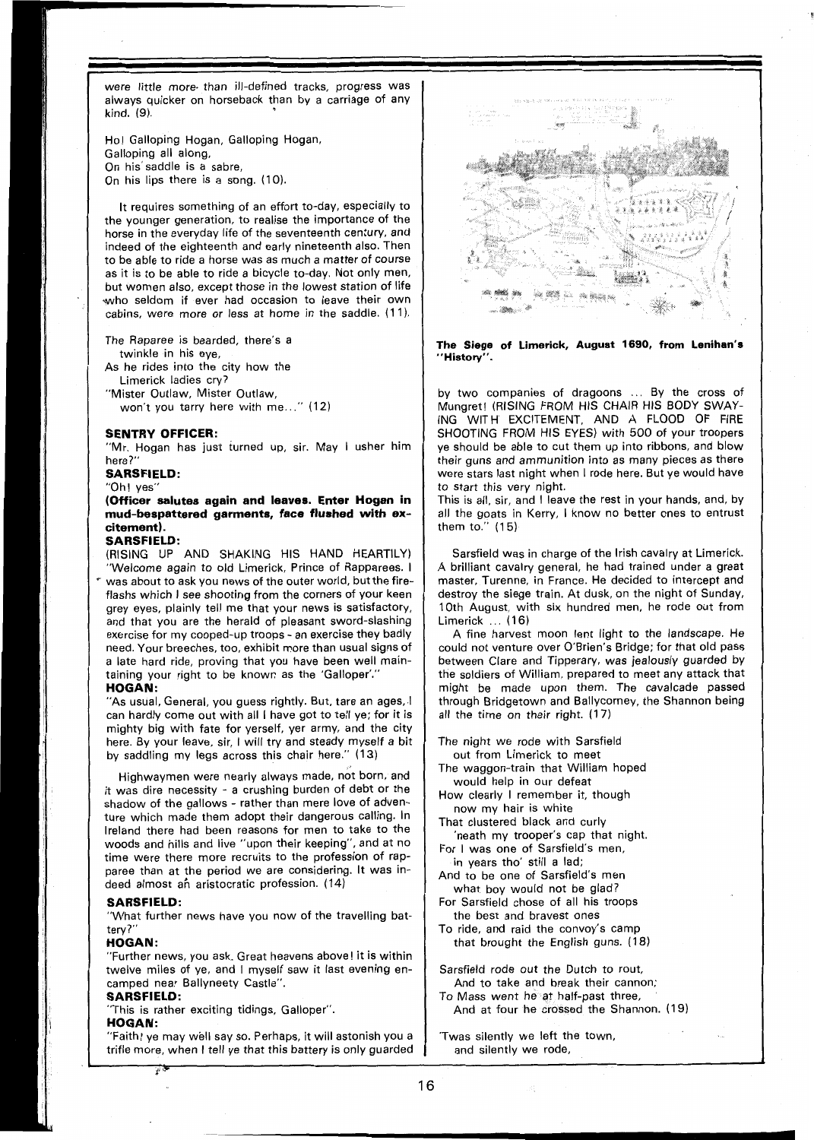were little more. than ill-defined tracks, progress was always quicker on horseback than by a carriage of any kind. (9).

Ho! Galloping Hogan, Galloping Hogan, Galloping all along, On his'saddle is a sabre, On his lips there is a song. (10).

It requires something of an effort to-day, especially to the younger generation, to realise the importance of the horse in the everyday life of the seventeenth century, and indeed of the eighteenth and early nineteenth also. Then to be able to ride a horse was as much a matter of course as it is to be able to ride a bicycle to-day, Not only men, but women also, except those in the lowest station of life who seldom if ever had occasion to leave their own cabins, were more or less at home in the saddle. (11).

- The Raparee is bearded, there's a twinkle in his eye,
- As he rides into the city how the Limerick ladies cry?
- "Mister Outlaw, Mister Outlaw,

won't you tarry here with me..." (12)

#### **SENTRY OFFICER:**

"Mr. Hogan has just turned up, sir. May I usher him here?'

#### **SARSFIELD:**

#### "Oh ! yes"

**(Officer salutes again and leaves. Enter Hogan in mud-bespattered garments, face flushed with excitement).** 

### **SARSFIELD:**

(RISING **UP** AND SHAKING HIS HAND HEARTILY) "Welcome again to old Limerick, Prince of Rapparees. I was about to ask you news of the outer world, but the fireflashs which I see shooting from the corners of your keen grey eyes, plainly tell me that your news is satisfactory, and that you are the herald of pleasant sword-slashing exercise for my cooped-up troops - an exercise they badly need. Your breeches, too, exhibit more than usual signs of a late hard ride, proving that you have been well maintaining your right to be known as the 'Galloper'."

#### **HOGAN:**

"As usual, General, you guess rightly. But, tare an ages, I can hardly come out with all I have got to tell ye; for it is mighty big with fate for yerself, yer army, and the city here. By your leave, sir, I will try and steady myself a bit by saddling my legs across this chair here." (13)

Highwaymen were nearly always made, not born, and it was dire necessity - a crushing burden of debt or the shadow of the gallows - rather than mere love of adventure which made them adopt their dangerous calling. In Ireland there had been reasons for men to take to the woods and hills and live "upon their keeping", and at no time were there more recruits to the profession of rapparee than at the period we are considering. It was indeed almost an aristocratic profession. (14)

#### **SARSFIELD:**

"What further news have you now of the travelling battery?"

#### **HOGAN:**

"Further news, you ask. Great heavens above! it is within twelve miles of ye, and I myself saw it last evening encamped near Ballyneety Castle".

## **SARSFIELD:**

نۍ<br>نالو

"This is rather exciting tidings, Galloper".

#### **HOGAN:**

"Faith! ye may well say so. Perhaps, it will astonish you a trifle more, when I tell ye that this battery is only guarded



**The Siege of Limerick, August 1690, from Lenihan's "History".** 

by two companies of dragoons ... By the cross of Mungret! (RISING FROM HIS CHAIR HIS BODY SWAY-ING WITH EXCITEMENT, AND A FLOOD OF FIRE SHOOTING FROM HIS EYES) with 500 of your troopers ye should be able to cut them up into ribbons, and blow their guns and ammunition into as many pieces as there were stars last night when I rode here. But ye would have to start this very night.

This is all, sir, and I leave the rest in your hands, and, by all the goats in Kerry, I know no better ones to entrust them to."  $(15)$ 

Sarsfield was in charge of the Irish cavalry at Limerick. A brilliant cavalry general, he had trained under a great master, Turenne, in France. He decided to intercept and destroy the siege train. At dusk, on the night of Sunday, 10th August, with six hundred men, he rode out from Limerick ... (16)

A fine harvest moon lent light to the landscape. He could not venture over O'Brien's Bridge; for that old pass between Clare and Tipperary, was jealously guarded by the soldiers of William, prepared to meet any attack that might be made upon them. The cavalcade passed through Bridgetown and Ballycorney, the Shannon being all the time on their right. (17)

The night we rode with Sarsfield out from Limerick to meet

- The waggon-train that William hoped would help in our defeat
- How clearly I remember it, though now my hair is white
- That clustered black and curly
- 'neath my trooper's cap that night. For I was one of Sarsfield's men.
- in years tho' still a lad; And to be one of Sarsfield's men
- what boy would not be glad? For Sarsfield chose of all his troops
- the best and bravest ones To ride, and raid the convoy's camp
- that brought the English guns. (18)

Sarsfield rode out the Dutch to rout, And to take and break their cannon;

To Mass went he at half-past three, And at four he crossed the Shannon. (19)

'Twas silently we left the town, and silently we rode,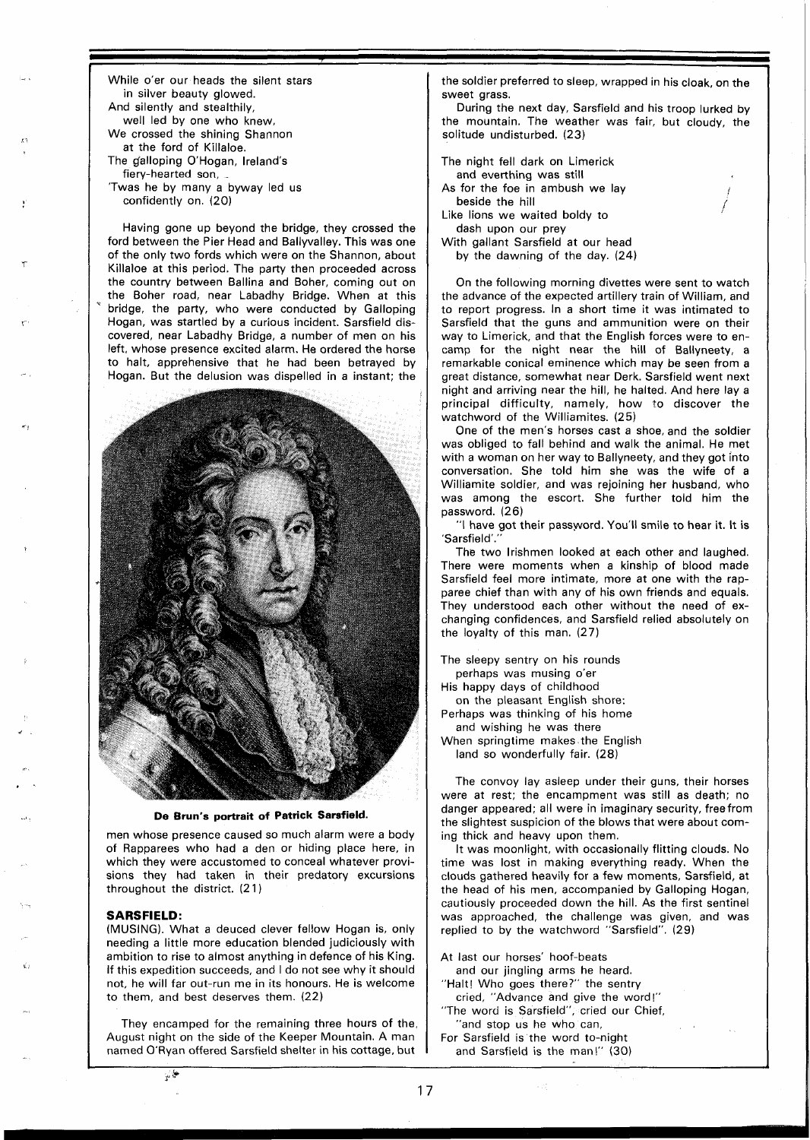While o'er our heads the silent stars in silver beauty glowed. And silently and stealthily, well led by one who knew, We crossed the shining Shannon at the ford of Killaloe. The galloping O'Hogan, Ireland's fiery-hearted son,

'Twas he by many a byway led us confidently on. (20)

Having gone up beyond the bridge, they crossed the ford between the Pier Head and Ballyvalley. This was one of the only two fords which were on the Shannon, about Killaloe at this period. The party then proceeded across the country between Ballina and Boher, coming out on the Boher road, near Labadhy Bridge. When at this bridge, the party, who were conducted by Galloping Hogan, was startled by a curious incident. Sarsfield discovered, near Labadhy Bridge, a number of men on his left, whose presence excited alarm. He ordered the horse to halt, apprehensive that he had been betrayed by Hogan. But the delusion was dispelled in a instant; the



**De Brun's portrait of Patrick Sarsfield.** 

men whose presence caused so much alarm were a body of Rapparees who had a den or hiding place here, in which they were accustomed to conceal whatever provisions they had taken in their predatory excursions throughout the district. (2 1 )

#### **SARSFIELD:**

 $r^{\frac{1}{2}}$ 

(MUSING). What a deuced clever fellow Hogan is, only needing a little more education blended judiciously with ambition to rise to almost anything in defence of his King. If this expedition succeeds, and I do not see why it should not, he will far out-run me in its honours. He is welcome to them, and best deserves them. (22)

They encamped for the remaining three hours of the. August night on the side of the Keeper Mountain. A man named O'Ryan offered Sarsfield shelter in his cottage, but

the soldier preferred to sleep, wrapped in his cloak, on the sweet grass.

During the next day, Sarsfield and his troop lurked by the mountain. The weather was fair, but cloudy, the solitude undisturbed. (23)

The night fell dark on Limerick and everthing was still As for the foe in ambush we lay beside the hill Like lions we waited boldy to dash upon our prey With gallant Sarsfield at our head by the dawning of the day. (24)

On the following morning divettes were sent to watch the advance of the expected artillery train of William, and to report progress. In a short time it was intimated to Sarsfield that the guns and ammunition were on their way to Limerick, and that the English forces were to encamp for the night near the hill of Ballyneety, a remarkable conical eminence which may be seen from a great distance, somewhat near Derk. Sarsfield went next night and arriving near the hill, he halted. And here lay a principal difficulty, namely, how to discover the watchword of the Williamites. (25)

One of the men's horses cast a shoe, and the soldier was obliged to fall behind and walk the animal. He met with a woman on her way to Ballyneety, and they got into conversation. She told him she was the wife of a Williamite soldier, and was rejoining her husband, who was among the escort. She further told him the password. (26)

"I have got their password. You'll smile to hear it. It is 'Sarsfield'.

The two Irishmen looked at each other and laughed. There were moments when a kinship of blood made Sarsfield feel more intimate, more at one with the rapparee chief than with any of his own friends and equals. They understood each other without the need of exchanging confidences, and Sarsfield relied absolutely on the loyalty of this man. (27)

The sleepy sentry on his rounds perhaps was musing o'er His happy days of childhood on the pleasant English shore: Perhaps was thinking of his home and wishing he was there When springtime makes.the English land so wonderfully fair. (28)

The convoy lay asleep under their guns, their horses were at rest; the encampment was still as death; no danger appeared; all were in imaginary security, free from the slightest suspicion of the blows that were about coming thick and heavy upon them.

It was moonlight, with occasionally flitting clouds. No time was lost in making everything ready. When the clouds gathered heavily for a few moments, Sarsfield, at the head of his men, accompanied by Galloping Hogan, cautiously proceeded down the hill. As the first sentinel was approached, the challenge was given, and was replied to by the watchword "Sarsfield". (29)

At last our horses' hoof-beats and our jingling arms he heard. "Halt! Who goes there?" the sentry cried, "Advance and give the word!" The word is Sarsfield", cried our Chief,

"and stop us he who can, For Sarsfield is the word to-night and Sarsfield is the man\" (30)

 $17$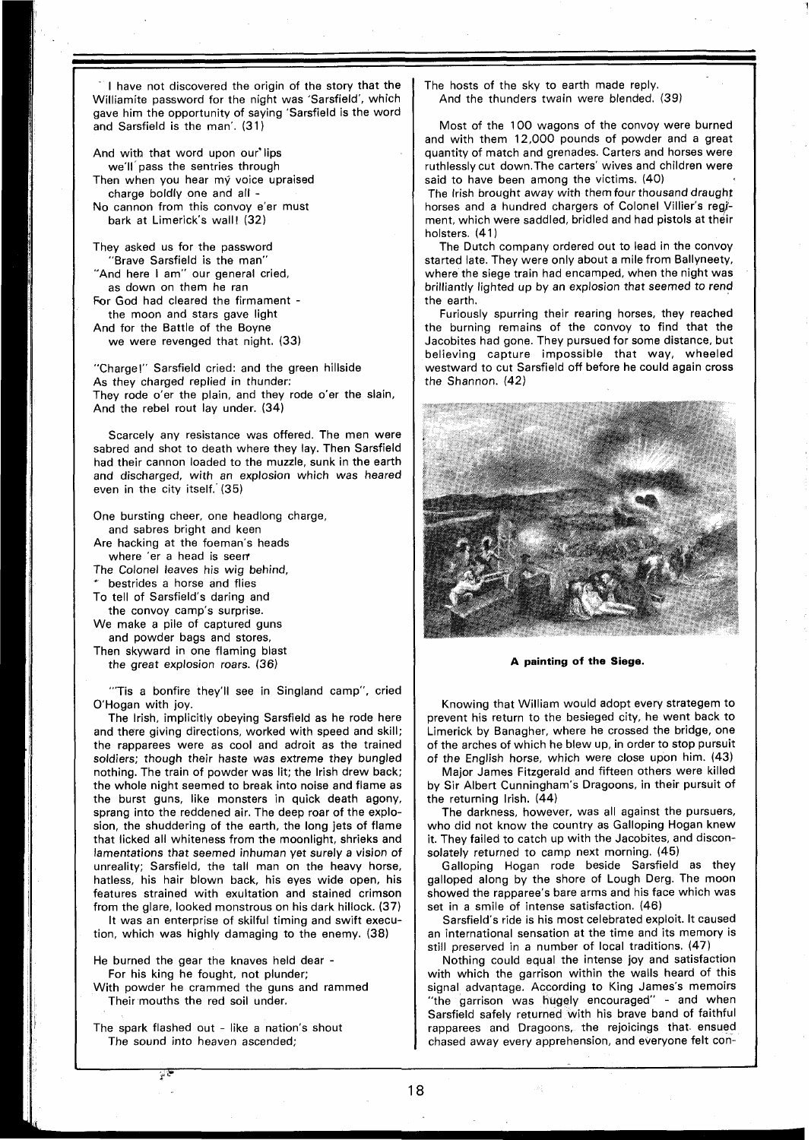I have not discovered the origin of the story that the Williamite password for the night was 'Sarsfield', which gave him the opportunity of saying 'Sarsfield is the word and Sarsfield is the man'. (31)

And with that word upon our'lips we'll'pass the sentries through Then when you hear my voice upraised charge boldly one and all - No cannon from this convoy e'er must bark at Limerick's wall! (32)

They asked us for the password "Brave Sarsfield is the man" "And here I am" our general cried, as down on them he ran For God had cleared the firmament the moon and stars gave light And for the Battle of the Boyne we were revenged that night. (33)

"Charge!" Sarsfield cried: and the green hillside As they charged replied in thunder: They rode o'er the plain, and they rode o'er the slain, And the rebel rout lay under. (34)

Scarcely any resistance was offered. The men were sabred and shot to death where they lay. Then Sarsfield had their cannon loaded to the muzzle, sunk in the earth and discharged, with an explosion which was heared even in the city itself.'(35)

One bursting cheer, one headlong charge,

and sabres bright and keen

Are hacking at the foeman's heads

where 'er a head is seen The Colonel leaves his wig behind,

hestrides a horse and flies

To tell of Sarsfield's daring and

the convoy camp's surprise. We make a pile of captured guns and powder bags and stores,

Then skyward in one flaming blast the great explosion roars. (36)

"'Tis a bonfire they'll see in Singland camp", cried O'Hogan with joy.

The Irish, implicitly obeying Sarsfield as he rode here and there giving directions, worked with speed and skill; the rapparees were as cool and adroit as the trained soldiers; though their haste was extreme they bungled nothing. The train of powder was lit; the lrish drew back; the whole night seemed to break into noise and flame as the burst guns, like monsters in quick death agony, sprang into the reddened air. The deep roar of the explosion, the shuddering of the earth, the long jets of flame that licked all whiteness from the moonlight, shrieks and lamentations that seemed inhuman yet surely a vision of unreality; Sarsfield, the tall man on the heavy horse, hatless, his hair blown back, his eyes wide open, his features strained with exultation and stained crimson from the glare, looked monstrous on his dark hillock. **(37)** 

It was an enterprise of skilful timing and swift execution, which was highly damaging to the enemy. (38)

He burned the gear the knaves held dear -For his king he fought, not plunder;

With powder he crammed the guns and rammed

Their mouths the red soil under.

 $\mu$  C

The spark flashed out - like a nation's shout The sound into heaven ascended;

The hosts of the sky to earth made reply. And the thunders twain were blended. (39)

Most of the 100 wagons of the convoy were burned and with them 12,000 pounds of powder and a great quantity of match and grenades. Carters and horses were ruthlessly cut down.The carters' wives and children were said to have been among the victims. (40)

The lrish brought away with them four thousand draught horses and a hundred chargers of Colonel Villier's regjment, which were saddled, bridled and had pistols at their holsters. (41)

The Dutch company ordered out to lead in the convoy started late. They were only about a mile from Ballyneety, where the siege train had encamped, when the night was brilliantly lighted up by an explosion that seemed to rend the earth.

Furiously spurring their rearing horses, they reached the burning remains of the convoy to find that the Jacobites had gone. They pursued for some distance, but believing capture impossible that way, wheeled westward to cut Sarsfield off before he could again cross the Shannon. (42)



**A painting of the Siege.** 

Knowing that William would adopt every strategem to prevent his return to the besieged city, he went back to Limerick by Banagher, where he crossed the bridge, one of the arches of which he blew up, in order to stop pursuit of the English horse, which were close upon him. (43)

Major James Fitzgerald and fifteen others were killed by Sir Albert Cunningham's Dragoons, in their pursuit of the returning Irish. (44)

The darkness, however, was all against the pursuers, who did not know the country as Galloping Hogan knew it. They failed to catch up with the Jacobites, and disconsolately returned to camp next morning. (45)

Galloping Hogan rode beside Sarsfield as they galloped along by the shore of Lough Derg. The moon showed the rapparee's bare arms and his face which was set in a smile of intense satisfaction. (46)

Sarsfield's ride is his most celebrated exploit. It caused an international sensation at the time and its memory is still preserved in a number of local traditions. (47)

Nothing could equal the intense joy and satisfaction with which the garrison within the walls heard of this signal advantage. According to King James's memoirs "the garrison was hugely encouraged" - and when Sarsfield safely returned with his brave band of faithful rapparees and Dragoons, the rejoicings that. ensued chased away every apprehension, and everyone felt con-